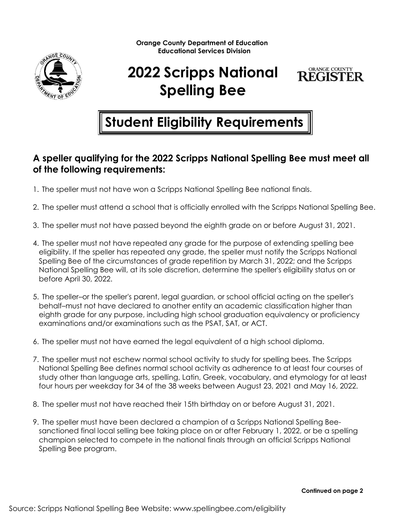

## **2022 Scripps National Spelling Bee**



## **Student Eligibility Requirements**

## **A speller qualifying for the 2022 Scripps National Spelling Bee must meet all of the following requirements:**

- 1. The speller must not have won a Scripps National Spelling Bee national finals.
- 2. The speller must attend a school that is officially enrolled with the Scripps National Spelling Bee.
- 3. The speller must not have passed beyond the eighth grade on or before August 31, 2021.
- 4. The speller must not have repeated any grade for the purpose of extending spelling bee eligibility. If the speller has repeated any grade, the speller must notify the Scripps National Spelling Bee of the circumstances of grade repetition by March 31, 2022; and the Scripps National Spelling Bee will, at its sole discretion, determine the speller's eligibility status on or before April 30, 2022.
- 5. The speller–or the speller's parent, legal guardian, or school official acting on the speller's behalf–must not have declared to another entity an academic classification higher than eighth grade for any purpose, including high school graduation equivalency or proficiency examinations and/or examinations such as the PSAT, SAT, or ACT.
- 6. The speller must not have earned the legal equivalent of a high school diploma.
- 7. The speller must not eschew normal school activity to study for spelling bees. The Scripps National Spelling Bee defines normal school activity as adherence to at least four courses of study other than language arts, spelling, Latin, Greek, vocabulary, and etymology for at least four hours per weekday for 34 of the 38 weeks between August 23, 2021 and May 16, 2022.
- 8. The speller must not have reached their 15th birthday on or before August 31, 2021.
- 9. The speller must have been declared a champion of a Scripps National Spelling Beesanctioned final local selling bee taking place on or after February 1, 2022, or be a spelling champion selected to compete in the national finals through an official Scripps National Spelling Bee program.